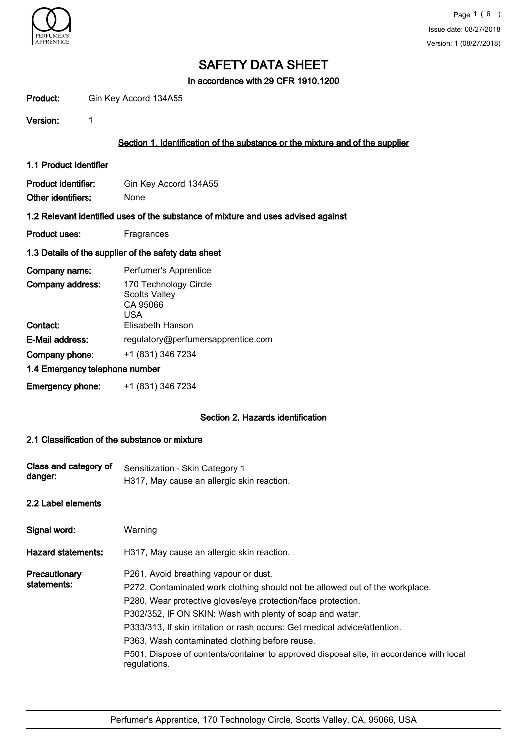

In accordance with 29 CFR 1910.1200

| Product:                                                                          | Gin Key Accord 134A55                                                         |  |  |  |
|-----------------------------------------------------------------------------------|-------------------------------------------------------------------------------|--|--|--|
| Version:                                                                          | 1                                                                             |  |  |  |
|                                                                                   | Section 1. Identification of the substance or the mixture and of the supplier |  |  |  |
| 1.1 Product Identifier                                                            |                                                                               |  |  |  |
| <b>Product identifier:</b><br>Other identifiers:                                  | Gin Key Accord 134A55<br><b>None</b>                                          |  |  |  |
| 1.2 Relevant identified uses of the substance of mixture and uses advised against |                                                                               |  |  |  |
| <b>Product uses:</b>                                                              | Fragrances                                                                    |  |  |  |
| 1.3 Details of the supplier of the safety data sheet                              |                                                                               |  |  |  |
| Company name:                                                                     | Perfumer's Apprentice                                                         |  |  |  |
| Company address:                                                                  | 170 Technology Circle<br><b>Scotts Valley</b><br>CA 95066<br><b>USA</b>       |  |  |  |
| Contact:                                                                          | Elisabeth Hanson                                                              |  |  |  |
| E-Mail address:                                                                   | regulatory@perfumersapprentice.com                                            |  |  |  |
| Company phone:                                                                    | +1 (831) 346 7234                                                             |  |  |  |
| 1.4 Emergency telephone number                                                    |                                                                               |  |  |  |
| Emergency phone:                                                                  | +1 (831) 346 7234                                                             |  |  |  |
|                                                                                   | Section 2. Hazards identification                                             |  |  |  |
|                                                                                   | .                                                                             |  |  |  |

## 2.1 Classification of the substance or mixture

| Class and category of<br>danger: | Sensitization - Skin Category 1<br>H317, May cause an allergic skin reaction.                                                                                                                                                                                                                                                                                                                                                                                                                 |  |
|----------------------------------|-----------------------------------------------------------------------------------------------------------------------------------------------------------------------------------------------------------------------------------------------------------------------------------------------------------------------------------------------------------------------------------------------------------------------------------------------------------------------------------------------|--|
| 2.2 Label elements               |                                                                                                                                                                                                                                                                                                                                                                                                                                                                                               |  |
| Signal word:                     | Warning                                                                                                                                                                                                                                                                                                                                                                                                                                                                                       |  |
| Hazard statements:               | H317, May cause an allergic skin reaction.                                                                                                                                                                                                                                                                                                                                                                                                                                                    |  |
| Precautionary<br>statements:     | P261, Avoid breathing vapour or dust.<br>P272, Contaminated work clothing should not be allowed out of the workplace.<br>P280, Wear protective gloves/eye protection/face protection.<br>P302/352, IF ON SKIN: Wash with plenty of soap and water.<br>P333/313, If skin irritation or rash occurs: Get medical advice/attention.<br>P363, Wash contaminated clothing before reuse.<br>P501, Dispose of contents/container to approved disposal site, in accordance with local<br>regulations. |  |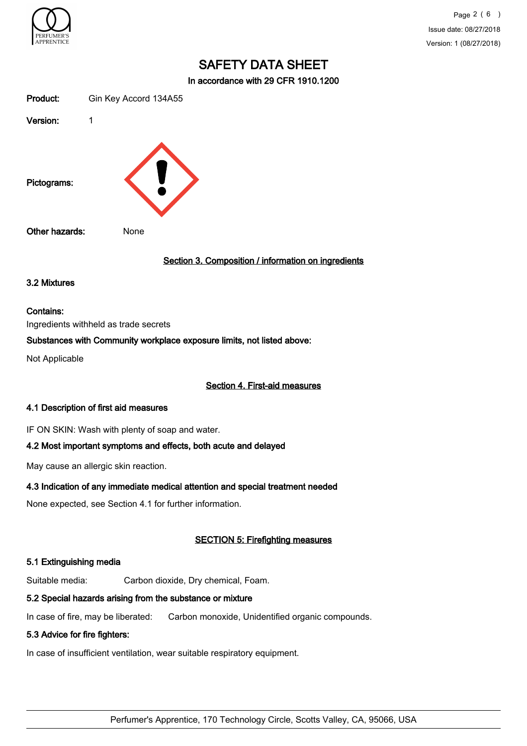

Page 2 ( 6 ) Issue date: 08/27/2018 Version: 1 (08/27/2018)

# SAFETY DATA SHEET

In accordance with 29 CFR 1910.1200

| Product:       | Gin Key Accord 134A55                               |
|----------------|-----------------------------------------------------|
| Version:       | 1                                                   |
| Pictograms:    |                                                     |
| Other hazards: | None                                                |
|                | Section 3. Composition / information on ingredients |
| 3.2 Mixtures   |                                                     |

## Contains:

Ingredients withheld as trade secrets

## Substances with Community workplace exposure limits, not listed above:

Not Applicable

#### Section 4. First-aid measures

#### 4.1 Description of first aid measures

IF ON SKIN: Wash with plenty of soap and water.

## 4.2 Most important symptoms and effects, both acute and delayed

May cause an allergic skin reaction.

### 4.3 Indication of any immediate medical attention and special treatment needed

None expected, see Section 4.1 for further information.

## SECTION 5: Firefighting measures

#### 5.1 Extinguishing media

Suitable media: Carbon dioxide, Dry chemical, Foam.

## 5.2 Special hazards arising from the substance or mixture

In case of fire, may be liberated: Carbon monoxide, Unidentified organic compounds.

## 5.3 Advice for fire fighters:

In case of insufficient ventilation, wear suitable respiratory equipment.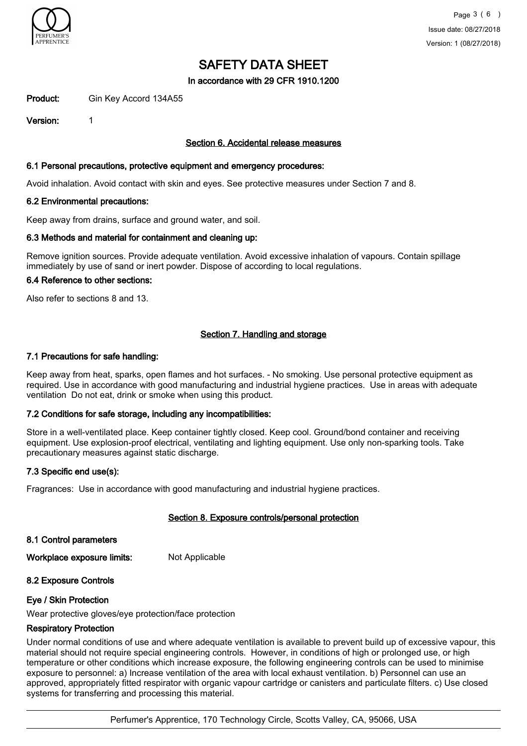

In accordance with 29 CFR 1910.1200

Product: Gin Key Accord 134A55

Version: 1

## Section 6. Accidental release measures

### 6.1 Personal precautions, protective equipment and emergency procedures:

Avoid inhalation. Avoid contact with skin and eyes. See protective measures under Section 7 and 8.

#### 6.2 Environmental precautions:

Keep away from drains, surface and ground water, and soil.

#### 6.3 Methods and material for containment and cleaning up:

Remove ignition sources. Provide adequate ventilation. Avoid excessive inhalation of vapours. Contain spillage immediately by use of sand or inert powder. Dispose of according to local regulations.

### 6.4 Reference to other sections:

Also refer to sections 8 and 13.

## Section 7. Handling and storage

#### 7.1 Precautions for safe handling:

Keep away from heat, sparks, open flames and hot surfaces. - No smoking. Use personal protective equipment as required. Use in accordance with good manufacturing and industrial hygiene practices. Use in areas with adequate ventilation Do not eat, drink or smoke when using this product.

## 7.2 Conditions for safe storage, including any incompatibilities:

Store in a well-ventilated place. Keep container tightly closed. Keep cool. Ground/bond container and receiving equipment. Use explosion-proof electrical, ventilating and lighting equipment. Use only non-sparking tools. Take precautionary measures against static discharge.

## 7.3 Specific end use(s):

Fragrances: Use in accordance with good manufacturing and industrial hygiene practices.

## Section 8. Exposure controls/personal protection

8.1 Control parameters

Workplace exposure limits: Not Applicable

## 8.2 Exposure Controls

## Eye / Skin Protection

Wear protective gloves/eye protection/face protection

## Respiratory Protection

Under normal conditions of use and where adequate ventilation is available to prevent build up of excessive vapour, this material should not require special engineering controls. However, in conditions of high or prolonged use, or high temperature or other conditions which increase exposure, the following engineering controls can be used to minimise exposure to personnel: a) Increase ventilation of the area with local exhaust ventilation. b) Personnel can use an approved, appropriately fitted respirator with organic vapour cartridge or canisters and particulate filters. c) Use closed systems for transferring and processing this material.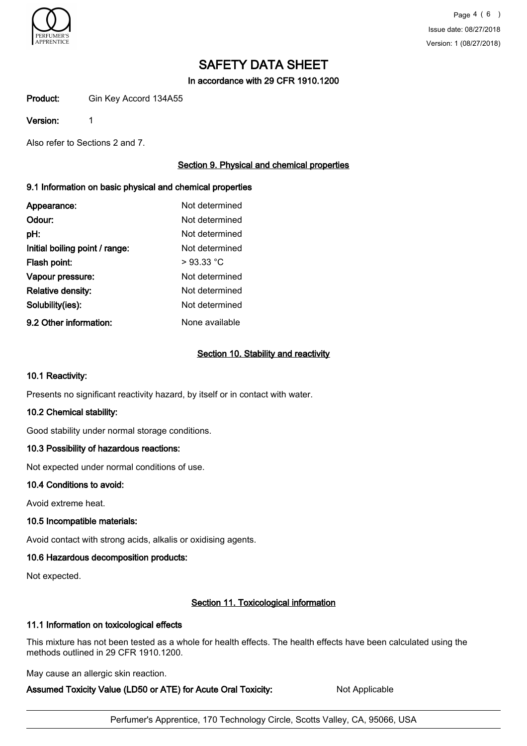

In accordance with 29 CFR 1910.1200

Product: Gin Key Accord 134A55

### Version: 1

Also refer to Sections 2 and 7.

## Section 9. Physical and chemical properties

## 9.1 Information on basic physical and chemical properties

| Appearance:                    | Not determined |
|--------------------------------|----------------|
| Odour:                         | Not determined |
| pH:                            | Not determined |
| Initial boiling point / range: | Not determined |
| Flash point:                   | $>93.33$ °C    |
| Vapour pressure:               | Not determined |
| Relative density:              | Not determined |
| Solubility(ies):               | Not determined |
| 9.2 Other information:         | None available |

## Section 10. Stability and reactivity

## 10.1 Reactivity:

Presents no significant reactivity hazard, by itself or in contact with water.

## 10.2 Chemical stability:

Good stability under normal storage conditions.

## 10.3 Possibility of hazardous reactions:

Not expected under normal conditions of use.

## 10.4 Conditions to avoid:

Avoid extreme heat.

## 10.5 Incompatible materials:

Avoid contact with strong acids, alkalis or oxidising agents.

## 10.6 Hazardous decomposition products:

Not expected.

## Section 11. Toxicological information

## 11.1 Information on toxicological effects

This mixture has not been tested as a whole for health effects. The health effects have been calculated using the methods outlined in 29 CFR 1910.1200.

May cause an allergic skin reaction.

## Assumed Toxicity Value (LD50 or ATE) for Acute Oral Toxicity: Not Applicable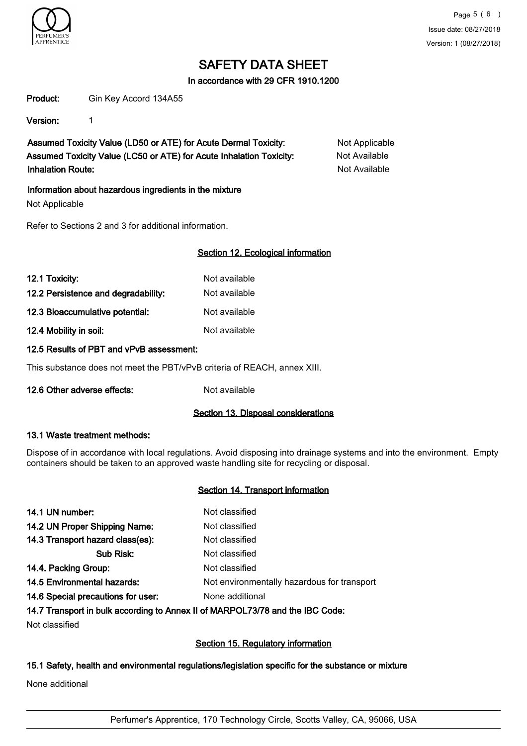

In accordance with 29 CFR 1910.1200

Product: Gin Key Accord 134A55

Version: 1

Assumed Toxicity Value (LD50 or ATE) for Acute Dermal Toxicity: Not Applicable Assumed Toxicity Value (LC50 or ATE) for Acute Inhalation Toxicity: Not Available Inhalation Route: Not Available

Information about hazardous ingredients in the mixture

Not Applicable

Refer to Sections 2 and 3 for additional information.

## Section 12. Ecological information

| 12.1 Toxicity:                      | Not available |
|-------------------------------------|---------------|
| 12.2 Persistence and degradability: | Not available |
| 12.3 Bioaccumulative potential:     | Not available |
| 12.4 Mobility in soil:              | Not available |

## 12.5 Results of PBT and vPvB assessment:

This substance does not meet the PBT/vPvB criteria of REACH, annex XIII.

12.6 Other adverse effects: Not available

## Section 13. Disposal considerations

## 13.1 Waste treatment methods:

Dispose of in accordance with local regulations. Avoid disposing into drainage systems and into the environment. Empty containers should be taken to an approved waste handling site for recycling or disposal.

## Section 14. Transport information

| 14.1 UN number:                    | Not classified                              |
|------------------------------------|---------------------------------------------|
| 14.2 UN Proper Shipping Name:      | Not classified                              |
| 14.3 Transport hazard class(es):   | Not classified                              |
| Sub Risk:                          | Not classified                              |
| 14.4. Packing Group:               | Not classified                              |
| <b>14.5 Environmental hazards:</b> | Not environmentally hazardous for transport |
| 14.6 Special precautions for user: | None additional                             |
|                                    |                                             |

14.7 Transport in bulk according to Annex II of MARPOL73/78 and the IBC Code:

Not classified

## Section 15. Regulatory information

## 15.1 Safety, health and environmental regulations/legislation specific for the substance or mixture

None additional